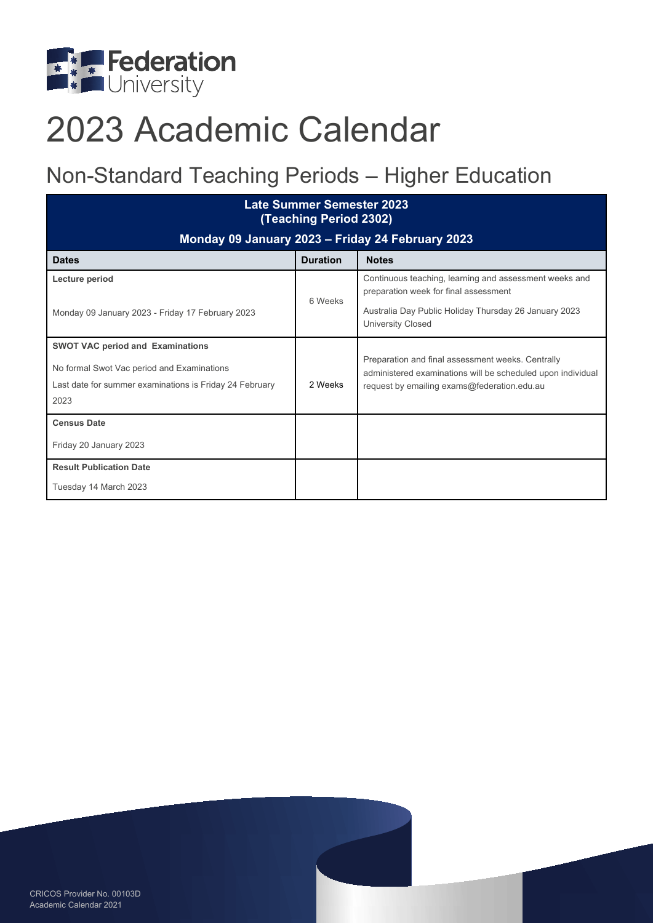

# 2023 Academic Calendar

### Non-Standard Teaching Periods – Higher Education

| Late Summer Semester 2023<br>(Teaching Period 2302)     |                 |                                                                                                                  |  |  |
|---------------------------------------------------------|-----------------|------------------------------------------------------------------------------------------------------------------|--|--|
| Monday 09 January 2023 - Friday 24 February 2023        |                 |                                                                                                                  |  |  |
| <b>Dates</b>                                            | <b>Duration</b> | <b>Notes</b>                                                                                                     |  |  |
| Lecture period                                          | 6 Weeks         | Continuous teaching, learning and assessment weeks and<br>preparation week for final assessment                  |  |  |
| Monday 09 January 2023 - Friday 17 February 2023        |                 | Australia Day Public Holiday Thursday 26 January 2023<br><b>University Closed</b>                                |  |  |
| <b>SWOT VAC period and Examinations</b>                 |                 |                                                                                                                  |  |  |
| No formal Swot Vac period and Examinations              |                 | Preparation and final assessment weeks. Centrally<br>administered examinations will be scheduled upon individual |  |  |
| Last date for summer examinations is Friday 24 February | 2 Weeks         | request by emailing exams@federation.edu.au                                                                      |  |  |
| 2023                                                    |                 |                                                                                                                  |  |  |
| <b>Census Date</b>                                      |                 |                                                                                                                  |  |  |
| Friday 20 January 2023                                  |                 |                                                                                                                  |  |  |
| <b>Result Publication Date</b>                          |                 |                                                                                                                  |  |  |
| Tuesday 14 March 2023                                   |                 |                                                                                                                  |  |  |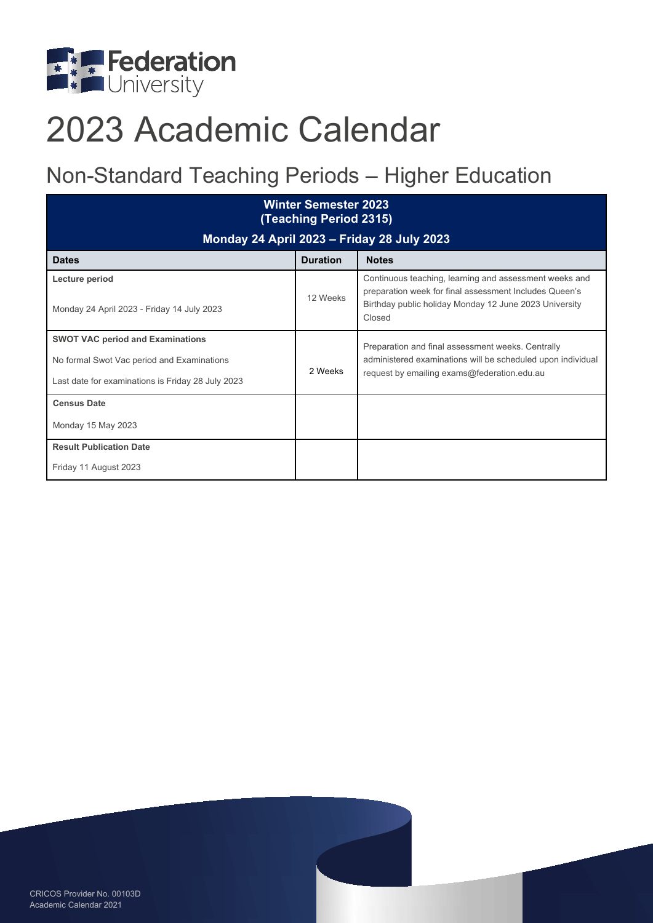

# 2023 Academic Calendar

### Non-Standard Teaching Periods – Higher Education

| <b>Winter Semester 2023</b><br>(Teaching Period 2315)                                                                                      |                 |                                                                                                                                                                                      |  |  |
|--------------------------------------------------------------------------------------------------------------------------------------------|-----------------|--------------------------------------------------------------------------------------------------------------------------------------------------------------------------------------|--|--|
| <b>Monday 24 April 2023 - Friday 28 July 2023</b>                                                                                          |                 |                                                                                                                                                                                      |  |  |
| <b>Dates</b>                                                                                                                               | <b>Duration</b> | <b>Notes</b>                                                                                                                                                                         |  |  |
| Lecture period<br>Monday 24 April 2023 - Friday 14 July 2023                                                                               | 12 Weeks        | Continuous teaching, learning and assessment weeks and<br>preparation week for final assessment Includes Queen's<br>Birthday public holiday Monday 12 June 2023 University<br>Closed |  |  |
| <b>SWOT VAC period and Examinations</b><br>No formal Swot Vac period and Examinations<br>Last date for examinations is Friday 28 July 2023 | 2 Weeks         | Preparation and final assessment weeks. Centrally<br>administered examinations will be scheduled upon individual<br>request by emailing exams@federation.edu.au                      |  |  |
| <b>Census Date</b><br>Monday 15 May 2023                                                                                                   |                 |                                                                                                                                                                                      |  |  |
| <b>Result Publication Date</b><br>Friday 11 August 2023                                                                                    |                 |                                                                                                                                                                                      |  |  |

CRICOS Provider No. 00103D Academic Calendar 2021